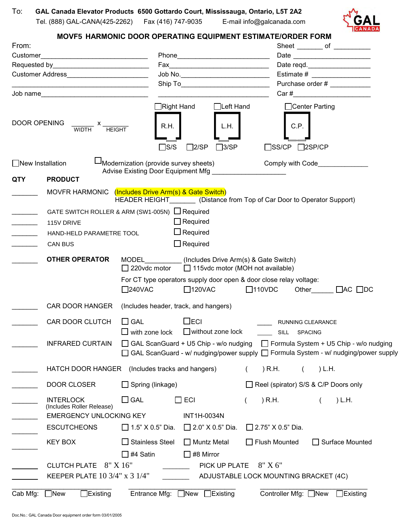

## **MOVF5 HARMONIC DOOR OPERATING EQUIPMENT ESTIMATE/ORDER FORM**

| From:                      |                                                                                                                             |                                                                             |                                                                                                                                                                        |                          |                                            | Sheet _________ of ___________       |  |
|----------------------------|-----------------------------------------------------------------------------------------------------------------------------|-----------------------------------------------------------------------------|------------------------------------------------------------------------------------------------------------------------------------------------------------------------|--------------------------|--------------------------------------------|--------------------------------------|--|
| Customer                   |                                                                                                                             |                                                                             |                                                                                                                                                                        |                          | Date reqd.<br>Estimate # _________________ |                                      |  |
|                            | Requested by Requested by Requested by Requested By                                                                         |                                                                             |                                                                                                                                                                        |                          |                                            |                                      |  |
|                            |                                                                                                                             |                                                                             |                                                                                                                                                                        |                          |                                            |                                      |  |
|                            | <u> 1989 - Johann John Stein, mars an deus Amerikaansk kommunister (</u>                                                    |                                                                             |                                                                                                                                                                        |                          |                                            | Purchase order #                     |  |
|                            | Job name                                                                                                                    |                                                                             |                                                                                                                                                                        |                          |                                            | Car#                                 |  |
| DOOR OPENING               | $\frac{x}{\text{WIDTH}}$ $x$ $\frac{y}{\text{HEIGHT}}$                                                                      | $\Box$ Right Hand<br>R.H.<br>$\Box$ S/S                                     | $\Box$ Left Hand<br>L.H.<br>$\Box$ 3/SP<br>$\Box$ 2/SP                                                                                                                 |                          | □Center Parting<br>C.P.<br>$\square$ SS/CP | $\square$ 2SP/CP                     |  |
| $\Box$ New Installation    |                                                                                                                             | Modernization (provide survey sheets)<br>Advise Existing Door Equipment Mfg |                                                                                                                                                                        |                          |                                            |                                      |  |
| <b>QTY</b>                 | <b>PRODUCT</b>                                                                                                              |                                                                             |                                                                                                                                                                        |                          |                                            |                                      |  |
|                            | MOVFR HARMONIC (Includes Drive Arm(s) & Gate Switch)                                                                        | HEADER HEIGHT (Distance from Top of Car Door to Operator Support)           |                                                                                                                                                                        |                          |                                            |                                      |  |
|                            | GATE SWITCH ROLLER & ARM (SW1-005N) $\Box$ Required                                                                         |                                                                             |                                                                                                                                                                        |                          |                                            |                                      |  |
|                            | 115V DRIVE                                                                                                                  |                                                                             | $\Box$ Required                                                                                                                                                        |                          |                                            |                                      |  |
| <u> Liberatura de la p</u> | HAND-HELD PARAMETRE TOOL                                                                                                    |                                                                             | $\Box$ Required                                                                                                                                                        |                          |                                            |                                      |  |
|                            | <b>CAN BUS</b>                                                                                                              |                                                                             | $\Box$ Required                                                                                                                                                        |                          |                                            |                                      |  |
|                            | <b>OTHER OPERATOR</b>                                                                                                       |                                                                             | MODEL (Includes Drive Arm(s) & Gate Switch)                                                                                                                            |                          |                                            |                                      |  |
|                            |                                                                                                                             | $\Box$ 220vdc motor                                                         | 115vdc motor (MOH not available)                                                                                                                                       |                          |                                            |                                      |  |
|                            |                                                                                                                             | $\square$ 240VAC                                                            | For CT type operators supply door open & door close relay voltage:<br>$\square$ 120VAC                                                                                 | $\square$ 110VDC         |                                            | Other<br>$\Box$ AC $\Box$ DC         |  |
|                            | <b>CAR DOOR HANGER</b>                                                                                                      | (Includes header, track, and hangers)                                       |                                                                                                                                                                        |                          |                                            |                                      |  |
|                            | <b>CAR DOOR CLUTCH</b>                                                                                                      | $\Box$ GAL<br>$\Box$ with zone lock                                         | $\Box$ ECI<br>$\Box$ without zone lock                                                                                                                                 |                          | RUNNING CLEARANCE<br>SILL SPACING          |                                      |  |
|                            | <b>INFRARED CURTAIN</b>                                                                                                     |                                                                             | □ GAL ScanGuard + U5 Chip - w/o nudging □ Formula System + U5 Chip - w/o nudging<br>GAL ScanGuard - w/ nudging/power supply □ Formula System - w/ nudging/power supply |                          |                                            |                                      |  |
|                            | <b>HATCH DOOR HANGER</b>                                                                                                    | (Includes tracks and hangers)                                               |                                                                                                                                                                        | ) R.H.                   |                                            | ) L.H.                               |  |
|                            | DOOR CLOSER                                                                                                                 | $\Box$ Spring (linkage)                                                     |                                                                                                                                                                        |                          |                                            | Reel (spirator) S/S & C/P Doors only |  |
|                            | <b>INTERLOCK</b><br>(Includes Roller Release)                                                                               | $\Box$ GAL                                                                  | $\Box$ ECI                                                                                                                                                             | ) R.H.                   |                                            | ) L.H.                               |  |
|                            | <b>EMERGENCY UNLOCKING KEY</b>                                                                                              |                                                                             | INT1H-0034N                                                                                                                                                            |                          |                                            |                                      |  |
|                            | <b>ESCUTCHEONS</b>                                                                                                          | $\Box$ 1.5" X 0.5" Dia.                                                     | $\Box$ 2.0" X 0.5" Dia.                                                                                                                                                | $\Box$ 2.75" X 0.5" Dia. |                                            |                                      |  |
|                            | <b>KEY BOX</b>                                                                                                              | $\Box$ Stainless Steel                                                      | $\Box$ Muntz Metal                                                                                                                                                     | $\Box$ Flush Mounted     |                                            | $\Box$ Surface Mounted               |  |
|                            |                                                                                                                             | コ #4 Satin                                                                  | #8 Mirror                                                                                                                                                              |                          |                                            |                                      |  |
|                            |                                                                                                                             |                                                                             |                                                                                                                                                                        |                          |                                            |                                      |  |
|                            | CLUTCH PLATE 8" X 16"<br>8" X 6"<br>PICK UP PLATE<br>KEEPER PLATE 10 3/4" x 3 1/4"<br>ADJUSTABLE LOCK MOUNTING BRACKET (4C) |                                                                             |                                                                                                                                                                        |                          |                                            |                                      |  |
|                            |                                                                                                                             |                                                                             |                                                                                                                                                                        |                          |                                            |                                      |  |
| Cab Mfg:                   | $\exists$ New<br>Existing[                                                                                                  | Entrance Mfg:                                                               | $\Box$ New $\Box$<br>Existing[                                                                                                                                         |                          | Controller Mfg: □New                       | Existing[                            |  |